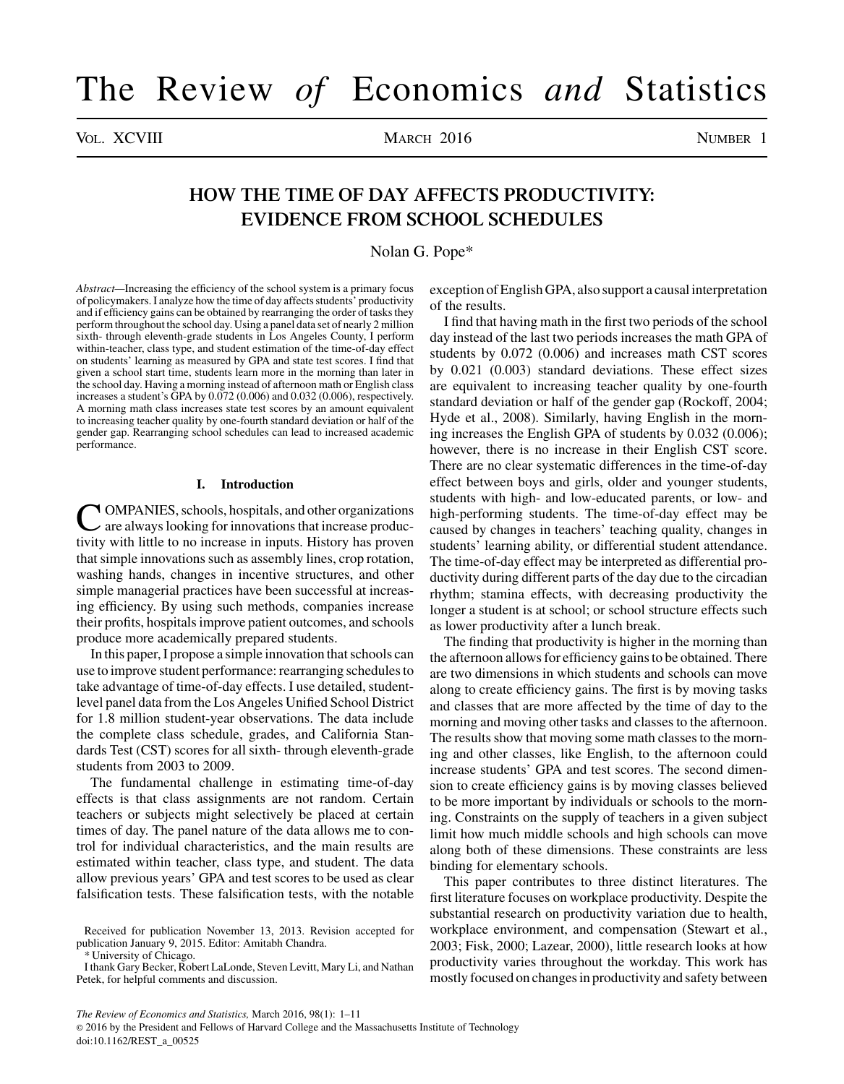# The Review *of* Economics *and* Statistics

VOL. XCVIII MARCH 2016 NUMBER 1

## **HOW THE TIME OF DAY AFFECTS PRODUCTIVITY: EVIDENCE FROM SCHOOL SCHEDULES**

Nolan G. Pope\*

*Abstract—*Increasing the efficiency of the school system is a primary focus of policymakers. I analyze how the time of day affects students' productivity and if efficiency gains can be obtained by rearranging the order of tasks they perform throughout the school day. Using a panel data set of nearly 2 million sixth- through eleventh-grade students in Los Angeles County, I perform within-teacher, class type, and student estimation of the time-of-day effect on students' learning as measured by GPA and state test scores. I find that given a school start time, students learn more in the morning than later in the school day. Having a morning instead of afternoon math or English class increases a student's GPA by 0.072 (0.006) and 0.032 (0.006), respectively. A morning math class increases state test scores by an amount equivalent to increasing teacher quality by one-fourth standard deviation or half of the gender gap. Rearranging school schedules can lead to increased academic performance.

## **I. Introduction**

C OMPANIES, schools, hospitals, and other organizations are always looking for innovations that increase productivity with little to no increase in inputs. History has proven that simple innovations such as assembly lines, crop rotation, washing hands, changes in incentive structures, and other simple managerial practices have been successful at increasing efficiency. By using such methods, companies increase their profits, hospitals improve patient outcomes, and schools produce more academically prepared students.

In this paper, I propose a simple innovation that schools can use to improve student performance: rearranging schedules to take advantage of time-of-day effects. I use detailed, studentlevel panel data from the Los Angeles Unified School District for 1.8 million student-year observations. The data include the complete class schedule, grades, and California Standards Test (CST) scores for all sixth- through eleventh-grade students from 2003 to 2009.

The fundamental challenge in estimating time-of-day effects is that class assignments are not random. Certain teachers or subjects might selectively be placed at certain times of day. The panel nature of the data allows me to control for individual characteristics, and the main results are estimated within teacher, class type, and student. The data allow previous years' GPA and test scores to be used as clear falsification tests. These falsification tests, with the notable

\* University of Chicago.

exception of English GPA, also support a causal interpretation of the results.

I find that having math in the first two periods of the school day instead of the last two periods increases the math GPA of students by 0.072 (0.006) and increases math CST scores by 0.021 (0.003) standard deviations. These effect sizes are equivalent to increasing teacher quality by one-fourth standard deviation or half of the gender gap (Rockoff, 2004; Hyde et al., 2008). Similarly, having English in the morning increases the English GPA of students by 0.032 (0.006); however, there is no increase in their English CST score. There are no clear systematic differences in the time-of-day effect between boys and girls, older and younger students, students with high- and low-educated parents, or low- and high-performing students. The time-of-day effect may be caused by changes in teachers' teaching quality, changes in students' learning ability, or differential student attendance. The time-of-day effect may be interpreted as differential productivity during different parts of the day due to the circadian rhythm; stamina effects, with decreasing productivity the longer a student is at school; or school structure effects such as lower productivity after a lunch break.

The finding that productivity is higher in the morning than the afternoon allows for efficiency gains to be obtained. There are two dimensions in which students and schools can move along to create efficiency gains. The first is by moving tasks and classes that are more affected by the time of day to the morning and moving other tasks and classes to the afternoon. The results show that moving some math classes to the morning and other classes, like English, to the afternoon could increase students' GPA and test scores. The second dimension to create efficiency gains is by moving classes believed to be more important by individuals or schools to the morning. Constraints on the supply of teachers in a given subject limit how much middle schools and high schools can move along both of these dimensions. These constraints are less binding for elementary schools.

This paper contributes to three distinct literatures. The first literature focuses on workplace productivity. Despite the substantial research on productivity variation due to health, workplace environment, and compensation (Stewart et al., 2003; Fisk, 2000; Lazear, 2000), little research looks at how productivity varies throughout the workday. This work has mostly focused on changes in productivity and safety between

*The Review of Economics and Statistics,* March 2016, 98(1): 1–11

© 2016 by the President and Fellows of Harvard College and the Massachusetts Institute of Technology doi:10.1162/REST\_a\_00525

Received for publication November 13, 2013. Revision accepted for publication January 9, 2015. Editor: Amitabh Chandra.

I thank Gary Becker, Robert LaLonde, Steven Levitt, Mary Li, and Nathan Petek, for helpful comments and discussion.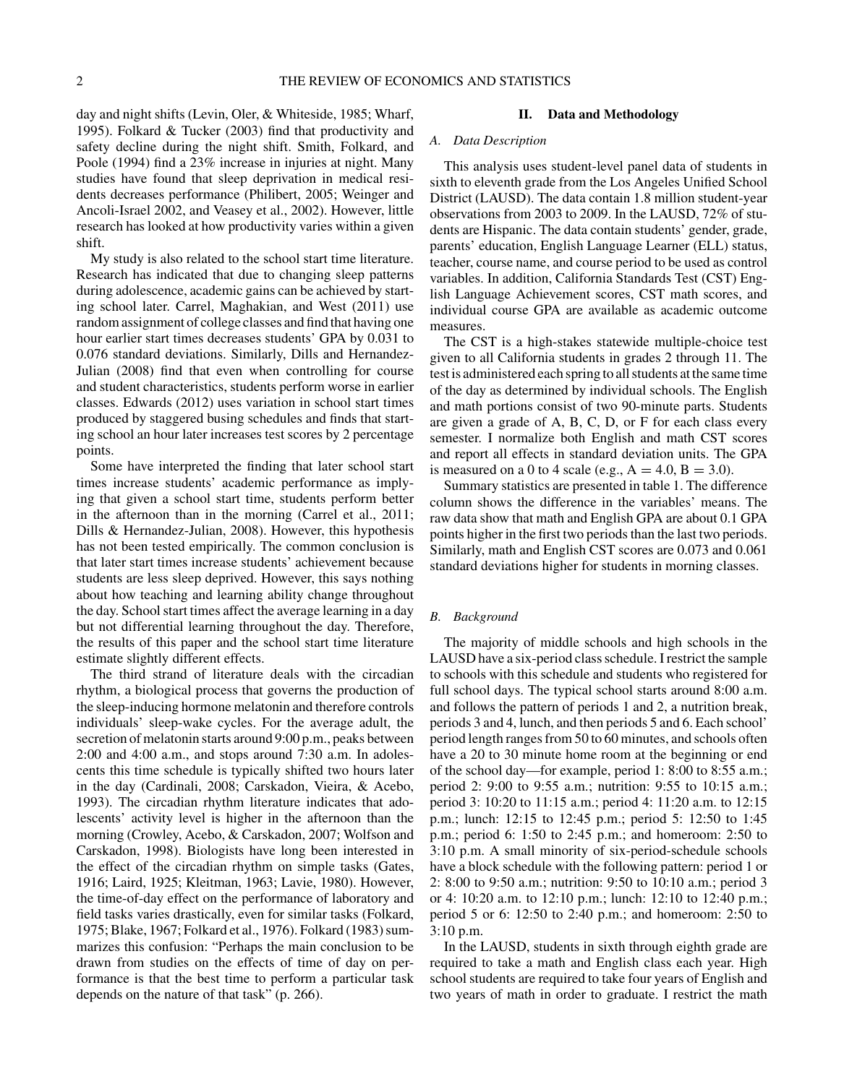day and night shifts (Levin, Oler, & Whiteside, 1985; Wharf, 1995). Folkard & Tucker (2003) find that productivity and safety decline during the night shift. Smith, Folkard, and Poole (1994) find a 23% increase in injuries at night. Many studies have found that sleep deprivation in medical residents decreases performance (Philibert, 2005; Weinger and Ancoli-Israel 2002, and Veasey et al., 2002). However, little research has looked at how productivity varies within a given shift.

My study is also related to the school start time literature. Research has indicated that due to changing sleep patterns during adolescence, academic gains can be achieved by starting school later. Carrel, Maghakian, and West (2011) use random assignment of college classes and find that having one hour earlier start times decreases students' GPA by 0.031 to 0.076 standard deviations. Similarly, Dills and Hernandez-Julian (2008) find that even when controlling for course and student characteristics, students perform worse in earlier classes. Edwards (2012) uses variation in school start times produced by staggered busing schedules and finds that starting school an hour later increases test scores by 2 percentage points.

Some have interpreted the finding that later school start times increase students' academic performance as implying that given a school start time, students perform better in the afternoon than in the morning (Carrel et al., 2011; Dills & Hernandez-Julian, 2008). However, this hypothesis has not been tested empirically. The common conclusion is that later start times increase students' achievement because students are less sleep deprived. However, this says nothing about how teaching and learning ability change throughout the day. School start times affect the average learning in a day but not differential learning throughout the day. Therefore, the results of this paper and the school start time literature estimate slightly different effects.

The third strand of literature deals with the circadian rhythm, a biological process that governs the production of the sleep-inducing hormone melatonin and therefore controls individuals' sleep-wake cycles. For the average adult, the secretion of melatonin starts around 9:00 p.m., peaks between 2:00 and 4:00 a.m., and stops around 7:30 a.m. In adolescents this time schedule is typically shifted two hours later in the day (Cardinali, 2008; Carskadon, Vieira, & Acebo, 1993). The circadian rhythm literature indicates that adolescents' activity level is higher in the afternoon than the morning (Crowley, Acebo, & Carskadon, 2007; Wolfson and Carskadon, 1998). Biologists have long been interested in the effect of the circadian rhythm on simple tasks (Gates, 1916; Laird, 1925; Kleitman, 1963; Lavie, 1980). However, the time-of-day effect on the performance of laboratory and field tasks varies drastically, even for similar tasks (Folkard, 1975; Blake, 1967; Folkard et al., 1976). Folkard (1983) summarizes this confusion: "Perhaps the main conclusion to be drawn from studies on the effects of time of day on performance is that the best time to perform a particular task depends on the nature of that task" (p. 266).

## **II. Data and Methodology**

## *A. Data Description*

This analysis uses student-level panel data of students in sixth to eleventh grade from the Los Angeles Unified School District (LAUSD). The data contain 1.8 million student-year observations from 2003 to 2009. In the LAUSD, 72% of students are Hispanic. The data contain students' gender, grade, parents' education, English Language Learner (ELL) status, teacher, course name, and course period to be used as control variables. In addition, California Standards Test (CST) English Language Achievement scores, CST math scores, and individual course GPA are available as academic outcome measures.

The CST is a high-stakes statewide multiple-choice test given to all California students in grades 2 through 11. The test is administered each spring to all students at the same time of the day as determined by individual schools. The English and math portions consist of two 90-minute parts. Students are given a grade of A, B, C, D, or F for each class every semester. I normalize both English and math CST scores and report all effects in standard deviation units. The GPA is measured on a 0 to 4 scale (e.g.,  $A = 4.0, B = 3.0$ ).

Summary statistics are presented in table 1. The difference column shows the difference in the variables' means. The raw data show that math and English GPA are about 0.1 GPA points higher in the first two periods than the last two periods. Similarly, math and English CST scores are 0.073 and 0.061 standard deviations higher for students in morning classes.

## *B. Background*

The majority of middle schools and high schools in the LAUSD have a six-period class schedule. I restrict the sample to schools with this schedule and students who registered for full school days. The typical school starts around 8:00 a.m. and follows the pattern of periods 1 and 2, a nutrition break, periods 3 and 4, lunch, and then periods 5 and 6. Each school' period length ranges from 50 to 60 minutes, and schools often have a 20 to 30 minute home room at the beginning or end of the school day—for example, period 1: 8:00 to 8:55 a.m.; period 2: 9:00 to 9:55 a.m.; nutrition: 9:55 to 10:15 a.m.; period 3: 10:20 to 11:15 a.m.; period 4: 11:20 a.m. to 12:15 p.m.; lunch: 12:15 to 12:45 p.m.; period 5: 12:50 to 1:45 p.m.; period 6: 1:50 to 2:45 p.m.; and homeroom: 2:50 to 3:10 p.m. A small minority of six-period-schedule schools have a block schedule with the following pattern: period 1 or 2: 8:00 to 9:50 a.m.; nutrition: 9:50 to 10:10 a.m.; period 3 or 4: 10:20 a.m. to 12:10 p.m.; lunch: 12:10 to 12:40 p.m.; period 5 or 6: 12:50 to 2:40 p.m.; and homeroom: 2:50 to 3:10 p.m.

In the LAUSD, students in sixth through eighth grade are required to take a math and English class each year. High school students are required to take four years of English and two years of math in order to graduate. I restrict the math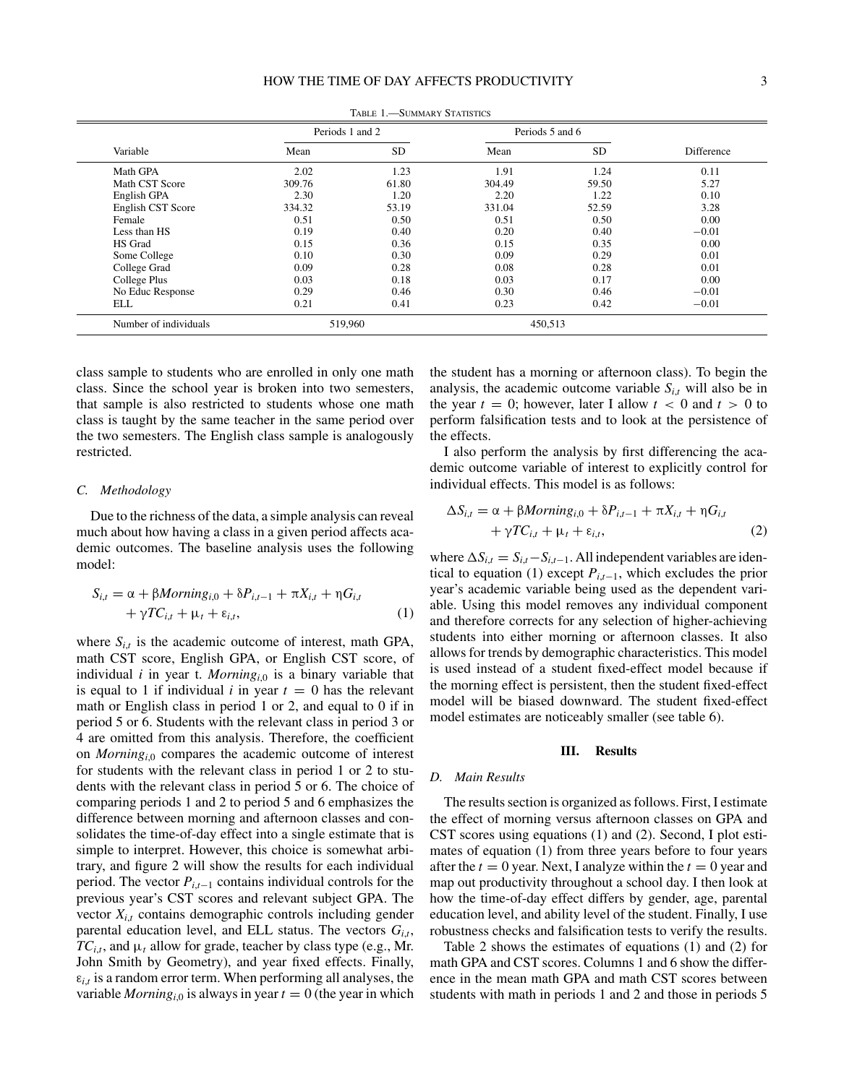|                       | Periods 1 and 2 |           | Periods 5 and 6 |           |            |
|-----------------------|-----------------|-----------|-----------------|-----------|------------|
| Variable              | Mean            | <b>SD</b> | Mean            | <b>SD</b> | Difference |
| Math GPA              | 2.02            | 1.23      | 1.91            | 1.24      | 0.11       |
| Math CST Score        | 309.76          | 61.80     | 304.49          | 59.50     | 5.27       |
| English GPA           | 2.30            | 1.20      | 2.20            | 1.22      | 0.10       |
| English CST Score     | 334.32          | 53.19     | 331.04          | 52.59     | 3.28       |
| Female                | 0.51            | 0.50      | 0.51            | 0.50      | 0.00       |
| Less than HS          | 0.19            | 0.40      | 0.20            | 0.40      | $-0.01$    |
| HS Grad               | 0.15            | 0.36      | 0.15            | 0.35      | 0.00       |
| Some College          | 0.10            | 0.30      | 0.09            | 0.29      | 0.01       |
| College Grad          | 0.09            | 0.28      | 0.08            | 0.28      | 0.01       |
| College Plus          | 0.03            | 0.18      | 0.03            | 0.17      | 0.00       |
| No Educ Response      | 0.29            | 0.46      | 0.30            | 0.46      | $-0.01$    |
| ELL                   | 0.21            | 0.41      | 0.23            | 0.42      | $-0.01$    |
| Number of individuals | 519,960         |           | 450,513         |           |            |

TABLE 1. SUMMARY STATISTICS

class sample to students who are enrolled in only one math class. Since the school year is broken into two semesters, that sample is also restricted to students whose one math class is taught by the same teacher in the same period over the two semesters. The English class sample is analogously restricted.

### *C. Methodology*

Due to the richness of the data, a simple analysis can reveal much about how having a class in a given period affects academic outcomes. The baseline analysis uses the following model:

$$
S_{i,t} = \alpha + \beta \text{Morning}_{i,0} + \delta P_{i,t-1} + \pi X_{i,t} + \eta G_{i,t} + \gamma T C_{i,t} + \mu_t + \varepsilon_{i,t},
$$
\n(1)

where  $S_{i,t}$  is the academic outcome of interest, math GPA, math CST score, English GPA, or English CST score, of individual  $i$  in year t. *Morning*<sub>i,0</sub> is a binary variable that is equal to 1 if individual  $i$  in year  $t = 0$  has the relevant math or English class in period 1 or 2, and equal to 0 if in period 5 or 6. Students with the relevant class in period 3 or 4 are omitted from this analysis. Therefore, the coefficient on *Morning*<sub>i0</sub> compares the academic outcome of interest for students with the relevant class in period 1 or 2 to students with the relevant class in period 5 or 6. The choice of comparing periods 1 and 2 to period 5 and 6 emphasizes the difference between morning and afternoon classes and consolidates the time-of-day effect into a single estimate that is simple to interpret. However, this choice is somewhat arbitrary, and figure 2 will show the results for each individual period. The vector *Pi*,*t*−<sup>1</sup> contains individual controls for the previous year's CST scores and relevant subject GPA. The vector  $X_{i,t}$  contains demographic controls including gender parental education level, and ELL status. The vectors  $G_{i,t}$ ,  $TC_{i,t}$ , and  $\mu_t$  allow for grade, teacher by class type (e.g., Mr. John Smith by Geometry), and year fixed effects. Finally,  $\varepsilon_{i,t}$  is a random error term. When performing all analyses, the variable *Morning*<sub>*i*,0</sub> is always in year  $t = 0$  (the year in which

the student has a morning or afternoon class). To begin the analysis, the academic outcome variable  $S_{i,t}$  will also be in the year  $t = 0$ ; however, later I allow  $t < 0$  and  $t > 0$  to perform falsification tests and to look at the persistence of the effects.

I also perform the analysis by first differencing the academic outcome variable of interest to explicitly control for individual effects. This model is as follows:

$$
\Delta S_{i,t} = \alpha + \beta \text{Morning}_{i,0} + \delta P_{i,t-1} + \pi X_{i,t} + \eta G_{i,t} + \gamma T C_{i,t} + \mu_t + \varepsilon_{i,t},
$$
\n(2)

where  $\Delta S_{i,t} = S_{i,t} - S_{i,t-1}$ . All independent variables are identical to equation (1) except  $P_{i,t-1}$ , which excludes the prior year's academic variable being used as the dependent variable. Using this model removes any individual component and therefore corrects for any selection of higher-achieving students into either morning or afternoon classes. It also allows for trends by demographic characteristics. This model is used instead of a student fixed-effect model because if the morning effect is persistent, then the student fixed-effect model will be biased downward. The student fixed-effect model estimates are noticeably smaller (see table 6).

## **III. Results**

## *D. Main Results*

The results section is organized as follows. First, I estimate the effect of morning versus afternoon classes on GPA and CST scores using equations (1) and (2). Second, I plot estimates of equation (1) from three years before to four years after the  $t = 0$  year. Next, I analyze within the  $t = 0$  year and map out productivity throughout a school day. I then look at how the time-of-day effect differs by gender, age, parental education level, and ability level of the student. Finally, I use robustness checks and falsification tests to verify the results.

Table 2 shows the estimates of equations (1) and (2) for math GPA and CST scores. Columns 1 and 6 show the difference in the mean math GPA and math CST scores between students with math in periods 1 and 2 and those in periods 5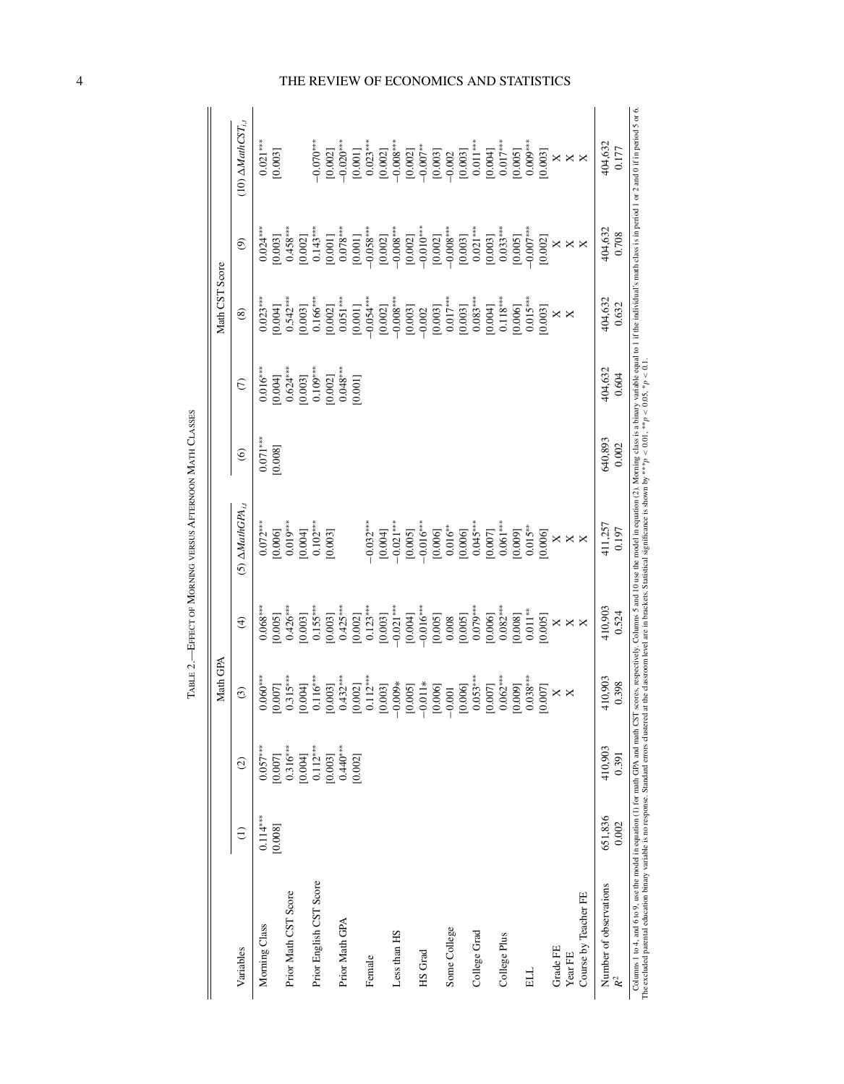|                                                                                                                                                                                                                                                                                                                                                                                                                                                  |            |                       | Math GPA                      |                       |                                      |                |                       | Math CST Score        |                          |                                         |
|--------------------------------------------------------------------------------------------------------------------------------------------------------------------------------------------------------------------------------------------------------------------------------------------------------------------------------------------------------------------------------------------------------------------------------------------------|------------|-----------------------|-------------------------------|-----------------------|--------------------------------------|----------------|-----------------------|-----------------------|--------------------------|-----------------------------------------|
| Variables                                                                                                                                                                                                                                                                                                                                                                                                                                        | $\ominus$  | $\widehat{c}$         | $\widehat{c}$                 | $\bigoplus$           | $(5)$ $\Delta$ MathGPA <sub>id</sub> | $\circledcirc$ | $\widehat{C}$         | $\circledS$           | $\widehat{\mathfrak{G}}$ | (10) $\triangle$ MathCST <sub>i,t</sub> |
| Morning Class                                                                                                                                                                                                                                                                                                                                                                                                                                    | $0.114***$ | $0.057***$            | $.060***$                     | $0.068***$            | $0.072***$                           | $0.071***$     | $0.016***$            | $0.023***$            | $0.024***$               | $0.021***$                              |
| Prior Math CST Score                                                                                                                                                                                                                                                                                                                                                                                                                             | [0.008]    | $0.316***$<br>[0.007] | $0.315***$<br>[000]           | $0.426***$<br>[0.005] | $0.019***$<br>[0.006]                | [0.008]        | $0.624***$<br>[0.004] | $0.542***$<br>[0.004] | $0.458***$<br>[0.003]    | [0.003]                                 |
|                                                                                                                                                                                                                                                                                                                                                                                                                                                  |            | [0.004]               | 0.004                         | [0.003]               | [0.004]                              |                | [0.003]               | [0.003]               | [0.002]                  |                                         |
| Prior English CST Score                                                                                                                                                                                                                                                                                                                                                                                                                          |            | $0.112***$<br>[0.003] | $0.116***$<br>1.003<br>⊵      | $0.155***$<br>[0.003] | $0.102***$<br>[0.003]                |                | $0.109***$<br>[0.002] | $0.166***$<br>[0.002] | $0.143***$<br>[0.001]    | $-0.070***$<br>[0.002]                  |
| Prior Math GPA                                                                                                                                                                                                                                                                                                                                                                                                                                   |            | $0.440***$            | $432***$                      | $0.425***$            |                                      |                | $0.048***$            | $0.051***$            | $0.078***$               | $-0.020***$                             |
|                                                                                                                                                                                                                                                                                                                                                                                                                                                  |            | [0.002]               | 0.002<br>⊵                    | [0.002]               |                                      |                | [0.001]               | [0.001]               | [0.001]                  | [0.001]                                 |
| Female                                                                                                                                                                                                                                                                                                                                                                                                                                           |            |                       | $0.112***$                    | $0.123***$            | $-0.032***$                          |                |                       | $-0.054***$           | $-0.058***$              | $0.023***$                              |
|                                                                                                                                                                                                                                                                                                                                                                                                                                                  |            |                       | 1.003<br>$\subseteq$          | [0.003]               | [0.004]                              |                |                       | [0.002]               | [0.002]                  | [0.002]                                 |
| Less than HS                                                                                                                                                                                                                                                                                                                                                                                                                                     |            |                       | $0.009*$<br>$\bigcap$         | $-0.021***$           | $-0.021***$                          |                |                       | $-0.008***$           | $-0.008***$              | $-0.008***$                             |
|                                                                                                                                                                                                                                                                                                                                                                                                                                                  |            |                       | 0.005<br>$\circ$              | [0.004]               | [0.005]                              |                |                       | [0.003]               | [0.002]                  | [0.002]                                 |
| HS Grad                                                                                                                                                                                                                                                                                                                                                                                                                                          |            |                       | $0.011*$<br>$\bigcap$         | $-0.016***$           | $-0.016***$                          |                |                       | $-0.002$              | $-0.010***$              | $-0.007***$                             |
|                                                                                                                                                                                                                                                                                                                                                                                                                                                  |            |                       | 1.006]<br>$\overline{\sigma}$ | [0.005]               | [0.006]                              |                |                       | [0.003]               | [0.002]                  | [0.003]                                 |
| Some College                                                                                                                                                                                                                                                                                                                                                                                                                                     |            |                       | 1.001                         | 0.008                 | $0.016***$                           |                |                       | $0.017***$            | $-0.008***$              | $-0.002$                                |
|                                                                                                                                                                                                                                                                                                                                                                                                                                                  |            |                       | 1.006]<br>$\epsilon$          | [0.005]               | [0.006]                              |                |                       | [0.003]               | [0.003]                  | [0.003]                                 |
| College Grad                                                                                                                                                                                                                                                                                                                                                                                                                                     |            |                       | $.053***$<br>P                | $0.079***$            | $0.045***$                           |                |                       | $0.083***$            | $0.021***$               | $0.011***$                              |
|                                                                                                                                                                                                                                                                                                                                                                                                                                                  |            |                       | [000]<br>$\subseteq$          | [0.006]               | [0.007]                              |                |                       | [0.004]               | [0.003]                  | [0.004]                                 |
| College Plus                                                                                                                                                                                                                                                                                                                                                                                                                                     |            |                       | $.062***$                     | $0.082***$            | $0.061***$                           |                |                       | $0.118***$            | $0.033***$               | $0.017***$                              |
|                                                                                                                                                                                                                                                                                                                                                                                                                                                  |            |                       | [600]<br>₽                    | [0.008]               | [0.009]                              |                |                       | [0.006]               | [0.005]                  | [0.005]                                 |
| <b>HH</b>                                                                                                                                                                                                                                                                                                                                                                                                                                        |            |                       | $0.038***$                    | $0.011**$             | $0.015***$                           |                |                       | $0.015***$            | $-0.007***$              | $0.009***$                              |
|                                                                                                                                                                                                                                                                                                                                                                                                                                                  |            |                       | [000]                         | [0.005]               | [0.006]                              |                |                       | [0.003]               | [0.002]                  | [0.003]                                 |
| Grade FE                                                                                                                                                                                                                                                                                                                                                                                                                                         |            |                       | $\times$                      |                       |                                      |                |                       | $\times$              |                          |                                         |
| Year FE                                                                                                                                                                                                                                                                                                                                                                                                                                          |            |                       | $\times$                      | $\times \times$       | $\times \times$                      |                |                       | X                     | $\times$ $\times$        | $\times\times\times$                    |
| Course by Teacher FE                                                                                                                                                                                                                                                                                                                                                                                                                             |            |                       |                               | $\mathsf{X}$          | $\boldsymbol{\times}$                |                |                       |                       | $\boldsymbol{\times}$    |                                         |
| Number of observations                                                                                                                                                                                                                                                                                                                                                                                                                           | 651,836    | 410,903               | 110,903                       | 410,903               | 411,257                              | 640,893        | 404,632               | 404,632               | 404,632                  | 404,632                                 |
| $\mathcal{R}^2$                                                                                                                                                                                                                                                                                                                                                                                                                                  | 0.002      | 0.391                 | 0.398                         | 0.524                 | 0.197                                | 0.002          | 0.604                 | 0.632                 | 0.708                    | 0.177                                   |
| Columns 1 to 4, and 6 to 9, use the model in equation (1) for math GPA and math CST scores, respectively. Columns 5 and 10 use the model in equation (2). Morning class is a binary variable equal to 1 if the individual's ma<br>The excluded parental education binary variable is no response. Standard errors clustered at the classroom level are in brackets. Statistical significance is shown by ***p < 0.01, **p < 0.1, 0.1, **p < 0.1, |            |                       |                               |                       |                                      |                |                       |                       |                          |                                         |

TABLE 2. - EFFECT OF MORNING VERSUS AFTERNOON MATH CLASSES —Effect of Morning versus Afternoon Math Classes

## 4 THE REVIEW OF ECONOMICS AND STATISTICS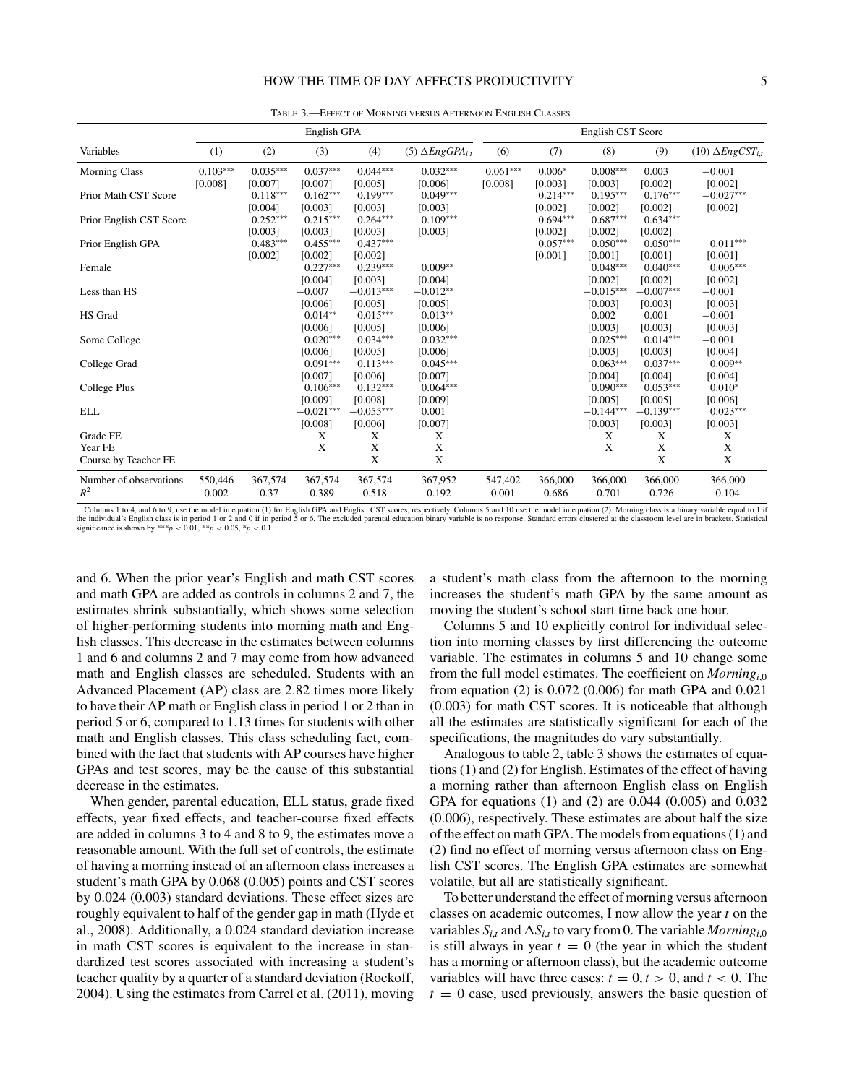|                                 |                  |                       | English GPA            |                        |                           |                  |                       | English CST Score      |                        |                            |
|---------------------------------|------------------|-----------------------|------------------------|------------------------|---------------------------|------------------|-----------------------|------------------------|------------------------|----------------------------|
| Variables                       | (1)              | (2)                   | (3)                    | (4)                    | (5) $\Delta EngGPA_{i,t}$ | (6)              | (7)                   | (8)                    | (9)                    | $(10) \Delta EngCST_{i,t}$ |
| <b>Morning Class</b>            | $0.103***$       | $0.035***$            | $0.037***$             | $0.044***$             | $0.032***$                | $0.061***$       | $0.006*$              | $0.008***$             | 0.003                  | $-0.001$                   |
| Prior Math CST Score            | [0.008]          | [0.007]<br>$0.118***$ | [0.007]<br>$0.162***$  | [0.005]<br>$0.199***$  | [0.006]<br>$0.049***$     | [0.008]          | [0.003]<br>$0.214***$ | [0.003]<br>$0.195***$  | [0.002]<br>$0.176***$  | [0.002]<br>$-0.027***$     |
| Prior English CST Score         |                  | [0.004]<br>$0.252***$ | [0.003]<br>$0.215***$  | [0.003]<br>$0.264***$  | [0.003]<br>$0.109***$     |                  | [0.002]<br>$0.694***$ | [0.002]<br>$0.687***$  | [0.002]<br>$0.634***$  | [0.002]                    |
|                                 |                  | [0.003]               | [0.003]                | [0.003]                | [0.003]                   |                  | [0.002]               | [0.002]                | [0.002]                |                            |
| Prior English GPA               |                  | $0.483***$<br>[0.002] | $0.455***$<br>[0.002]  | $0.437***$<br>[0.002]  |                           |                  | $0.057***$<br>[0.001] | $0.050***$<br>[0.001]  | $0.050***$<br>[0.001]  | $0.011***$<br>[0.001]      |
| Female                          |                  |                       | $0.227***$<br>[0.004]  | $0.239***$<br>[0.003]  | $0.009**$<br>[0.004]      |                  |                       | $0.048***$<br>[0.002]  | $0.040***$<br>[0.002]  | $0.006***$<br>[0.002]      |
| Less than HS                    |                  |                       | $-0.007$               | $-0.013***$            | $-0.012**$                |                  |                       | $-0.015***$            | $-0.007***$            | $-0.001$                   |
| HS Grad                         |                  |                       | [0.006]<br>$0.014**$   | [0.005]<br>$0.015***$  | [0.005]<br>$0.013**$      |                  |                       | [0.003]<br>0.002       | [0.003]<br>0.001       | [0.003]<br>$-0.001$        |
| Some College                    |                  |                       | [0.006]<br>$0.020***$  | [0.005]<br>$0.034***$  | [0.006]<br>$0.032***$     |                  |                       | [0.003]<br>$0.025***$  | [0.003]<br>$0.014***$  | [0.003]<br>$-0.001$        |
| College Grad                    |                  |                       | [0.006]<br>$0.091***$  | [0.005]<br>$0.113***$  | [0.006]<br>$0.045***$     |                  |                       | [0.003]<br>$0.063***$  | [0.003]<br>$0.037***$  | [0.004]<br>$0.009**$       |
|                                 |                  |                       | [0.007]                | [0.006]                | [0.007]                   |                  |                       | [0.004]                | [0.004]                | [0.004]                    |
| College Plus                    |                  |                       | $0.106***$<br>[0.009]  | $0.132***$<br>[0.008]  | $0.064***$<br>[0.009]     |                  |                       | $0.090***$<br>[0.005]  | $0.053***$<br>[0.005]  | $0.010*$<br>[0.006]        |
| <b>ELL</b>                      |                  |                       | $-0.021***$<br>[0.008] | $-0.055***$<br>[0.006] | 0.001<br>[0.007]          |                  |                       | $-0.144***$<br>[0.003] | $-0.139***$<br>[0.003] | $0.023***$<br>[0.003]      |
| Grade FE<br>Year FE             |                  |                       | X<br>X                 | X<br>X                 | X<br>X                    |                  |                       | X<br>X                 | X<br>X                 | X<br>X                     |
| Course by Teacher FE            |                  |                       |                        | X                      | $\mathbf X$               |                  |                       |                        | X                      | X                          |
| Number of observations<br>$R^2$ | 550,446<br>0.002 | 367,574<br>0.37       | 367,574<br>0.389       | 367,574<br>0.518       | 367,952<br>0.192          | 547,402<br>0.001 | 366,000<br>0.686      | 366,000<br>0.701       | 366,000<br>0.726       | 366,000<br>0.104           |

Table 3.—Effect of Morning versus Afternoon English Classes

Columns 1 to 4, and 6 to 9, use the model in equation (1) for English GPA and English CST scores, respectively. Columns 5 and 10 use the model in equation (2). Morning class is a binary variable equal to 1 if the individual's English class is in period 1 or 2 and 0 if in period 5 or 6. The excluded parental education binary variable is no response. Standard errors clustered at the classroom level are in brackets. Statistical<br>s

and 6. When the prior year's English and math CST scores and math GPA are added as controls in columns 2 and 7, the estimates shrink substantially, which shows some selection of higher-performing students into morning math and English classes. This decrease in the estimates between columns 1 and 6 and columns 2 and 7 may come from how advanced math and English classes are scheduled. Students with an Advanced Placement (AP) class are 2.82 times more likely to have their AP math or English class in period 1 or 2 than in period 5 or 6, compared to 1.13 times for students with other math and English classes. This class scheduling fact, combined with the fact that students with AP courses have higher GPAs and test scores, may be the cause of this substantial decrease in the estimates.

When gender, parental education, ELL status, grade fixed effects, year fixed effects, and teacher-course fixed effects are added in columns 3 to 4 and 8 to 9, the estimates move a reasonable amount. With the full set of controls, the estimate of having a morning instead of an afternoon class increases a student's math GPA by 0.068 (0.005) points and CST scores by 0.024 (0.003) standard deviations. These effect sizes are roughly equivalent to half of the gender gap in math (Hyde et al., 2008). Additionally, a 0.024 standard deviation increase in math CST scores is equivalent to the increase in standardized test scores associated with increasing a student's teacher quality by a quarter of a standard deviation (Rockoff, 2004). Using the estimates from Carrel et al. (2011), moving

a student's math class from the afternoon to the morning increases the student's math GPA by the same amount as moving the student's school start time back one hour.

Columns 5 and 10 explicitly control for individual selection into morning classes by first differencing the outcome variable. The estimates in columns 5 and 10 change some from the full model estimates. The coefficient on *Morningi*,0 from equation (2) is 0.072 (0.006) for math GPA and 0.021 (0.003) for math CST scores. It is noticeable that although all the estimates are statistically significant for each of the specifications, the magnitudes do vary substantially.

Analogous to table 2, table 3 shows the estimates of equations (1) and (2) for English. Estimates of the effect of having a morning rather than afternoon English class on English GPA for equations (1) and (2) are 0.044 (0.005) and 0.032 (0.006), respectively. These estimates are about half the size of the effect on math GPA. The models from equations (1) and (2) find no effect of morning versus afternoon class on English CST scores. The English GPA estimates are somewhat volatile, but all are statistically significant.

To better understand the effect of morning versus afternoon classes on academic outcomes, I now allow the year *t* on the variables  $S_{i,t}$  and  $\Delta S_{i,t}$  to vary from 0. The variable *Morning*<sub>i,0</sub> is still always in year  $t = 0$  (the year in which the student has a morning or afternoon class), but the academic outcome variables will have three cases:  $t = 0, t > 0$ , and  $t < 0$ . The  $t = 0$  case, used previously, answers the basic question of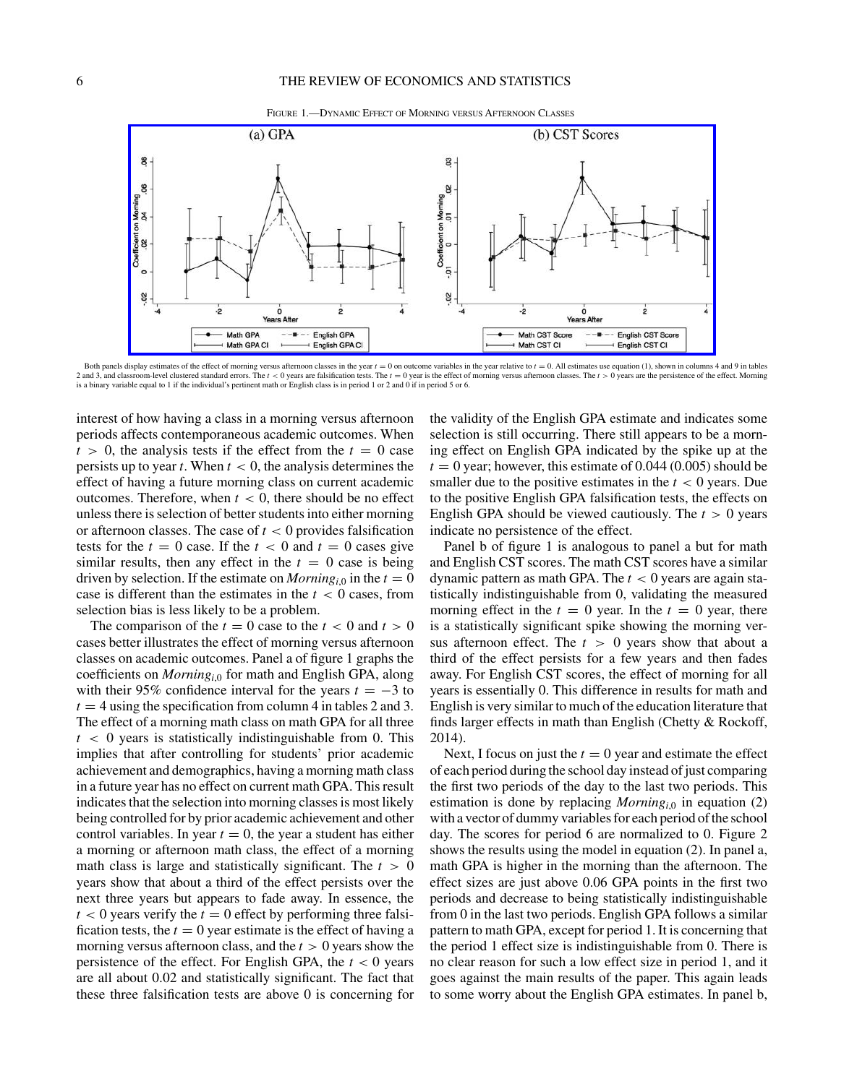

Both panels display estimates of the effect of morning versus afternoon classes in the year  $t = 0$  on outcome variables in the year relative to  $t = 0$ . All estimates use equation (1), shown in columns 4 and 9 in tables 2 and 3, and classroom-level clustered standard errors. The  $t < 0$  years are falsification tests. The  $t = 0$  year is the effect of morning versus afternoon classes. The  $t > 0$  years are the persistence of the effect. Morn is a binary variable equal to 1 if the individual's pertinent math or English class is in period 1 or 2 and 0 if in period 5 or 6.

interest of how having a class in a morning versus afternoon periods affects contemporaneous academic outcomes. When  $t > 0$ , the analysis tests if the effect from the  $t = 0$  case persists up to year  $t$ . When  $t < 0$ , the analysis determines the effect of having a future morning class on current academic outcomes. Therefore, when  $t < 0$ , there should be no effect unless there is selection of better students into either morning or afternoon classes. The case of  $t < 0$  provides falsification tests for the  $t = 0$  case. If the  $t < 0$  and  $t = 0$  cases give similar results, then any effect in the  $t = 0$  case is being driven by selection. If the estimate on *Morning*<sub>i,0</sub> in the  $t = 0$ case is different than the estimates in the  $t < 0$  cases, from selection bias is less likely to be a problem.

The comparison of the  $t = 0$  case to the  $t < 0$  and  $t > 0$ cases better illustrates the effect of morning versus afternoon classes on academic outcomes. Panel a of figure 1 graphs the coefficients on *Morningi*,0 for math and English GPA, along with their 95% confidence interval for the years  $t = -3$  to  $t = 4$  using the specification from column 4 in tables 2 and 3. The effect of a morning math class on math GPA for all three *t <* 0 years is statistically indistinguishable from 0. This implies that after controlling for students' prior academic achievement and demographics, having a morning math class in a future year has no effect on current math GPA. This result indicates that the selection into morning classes is most likely being controlled for by prior academic achievement and other control variables. In year  $t = 0$ , the year a student has either a morning or afternoon math class, the effect of a morning math class is large and statistically significant. The *t >* 0 years show that about a third of the effect persists over the next three years but appears to fade away. In essence, the  $t < 0$  years verify the  $t = 0$  effect by performing three falsification tests, the  $t = 0$  year estimate is the effect of having a morning versus afternoon class, and the *t >* 0 years show the persistence of the effect. For English GPA, the  $t < 0$  years are all about 0.02 and statistically significant. The fact that these three falsification tests are above 0 is concerning for

the validity of the English GPA estimate and indicates some selection is still occurring. There still appears to be a morning effect on English GPA indicated by the spike up at the  $t = 0$  year; however, this estimate of 0.044 (0.005) should be smaller due to the positive estimates in the  $t < 0$  years. Due to the positive English GPA falsification tests, the effects on English GPA should be viewed cautiously. The *t >* 0 years indicate no persistence of the effect.

Panel b of figure 1 is analogous to panel a but for math and English CST scores. The math CST scores have a similar dynamic pattern as math GPA. The *t <* 0 years are again statistically indistinguishable from 0, validating the measured morning effect in the  $t = 0$  year. In the  $t = 0$  year, there is a statistically significant spike showing the morning versus afternoon effect. The *t >* 0 years show that about a third of the effect persists for a few years and then fades away. For English CST scores, the effect of morning for all years is essentially 0. This difference in results for math and English is very similar to much of the education literature that finds larger effects in math than English (Chetty & Rockoff, 2014).

Next, I focus on just the  $t = 0$  year and estimate the effect of each period during the school day instead of just comparing the first two periods of the day to the last two periods. This estimation is done by replacing  $Morming_{i,0}$  in equation (2) with a vector of dummy variables for each period of the school day. The scores for period 6 are normalized to 0. Figure 2 shows the results using the model in equation (2). In panel a, math GPA is higher in the morning than the afternoon. The effect sizes are just above 0.06 GPA points in the first two periods and decrease to being statistically indistinguishable from 0 in the last two periods. English GPA follows a similar pattern to math GPA, except for period 1. It is concerning that the period 1 effect size is indistinguishable from 0. There is no clear reason for such a low effect size in period 1, and it goes against the main results of the paper. This again leads to some worry about the English GPA estimates. In panel b,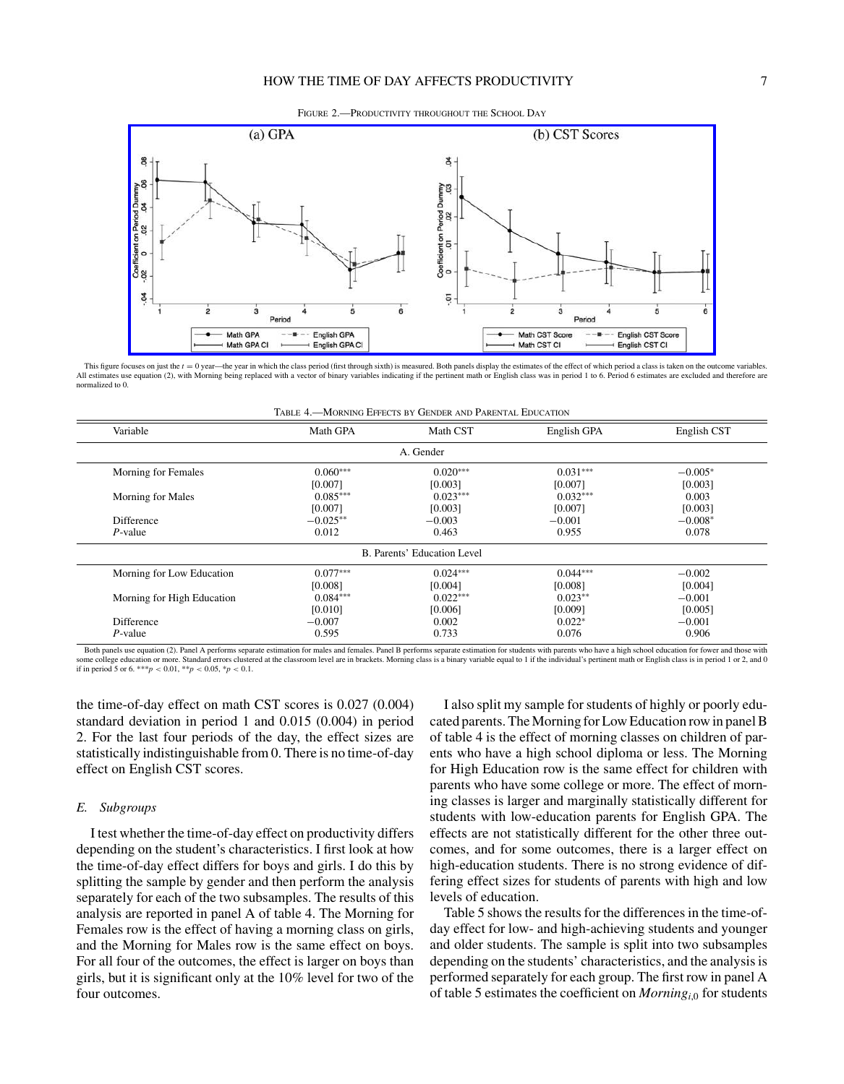## HOW THE TIME OF DAY AFFECTS PRODUCTIVITY **7**

FIGURE 2.—PRODUCTIVITY THROUGHOUT THE SCHOOL DAY



This figure focuses on just the  $t = 0$  year—the year in which the class period (first through sixth) is measured. Both panels display the estimates of the effect of which period a class is taken on the outcome variables. All estimates use equation (2), with Morning being replaced with a vector of binary variables indicating if the pertinent math or English class was in period 1 to 6. Period 6 estimates are excluded and therefore are normalized to 0.

| TABLE 4.—MORNING EFFECTS BY GENDER AND PARENTAL EDUCATION |
|-----------------------------------------------------------|
|-----------------------------------------------------------|

| Variable                    | Math GPA              | Math CST              | English GPA           | English CST          |  |  |  |
|-----------------------------|-----------------------|-----------------------|-----------------------|----------------------|--|--|--|
|                             |                       | A. Gender             |                       |                      |  |  |  |
| Morning for Females         | $0.060***$            | $0.020***$            | $0.031***$            | $-0.005*$            |  |  |  |
| <b>Morning for Males</b>    | [0.007]<br>$0.085***$ | [0.003]<br>$0.023***$ | [0.007]<br>$0.032***$ | [0.003]<br>0.003     |  |  |  |
| <b>Difference</b>           | [0.007]<br>$-0.025**$ | [0.003]<br>$-0.003$   | [0.007]<br>$-0.001$   | [0.003]<br>$-0.008*$ |  |  |  |
| $P$ -value                  | 0.012                 | 0.463                 | 0.955                 | 0.078                |  |  |  |
| B. Parents' Education Level |                       |                       |                       |                      |  |  |  |
| Morning for Low Education   | $0.077***$            | $0.024***$            | $0.044***$            | $-0.002$             |  |  |  |
|                             | [0.008]               | [0.004]               | [0.008]               | [0.004]              |  |  |  |
| Morning for High Education  | $0.084***$            | $0.022***$            | $0.023**$             | $-0.001$             |  |  |  |
|                             | [0.010]               | [0.006]               | [0.009]               | [0.005]              |  |  |  |
| <b>Difference</b>           | $-0.007$              | 0.002                 | $0.022*$              | $-0.001$             |  |  |  |
| P-value                     | 0.595                 | 0.733                 | 0.076                 | 0.906                |  |  |  |

Both panels use equation (2). Panel A performs separate estimation for males and females. Panel B performs separate estimation for students with parents who have a high school education for fower and those with some college education or more. Standard errors clustered at the classroom level are in brackets. Morning class is a binary variable equal to 1 if the individual's pertinent math or English class is in period 1 or 2, and 0

the time-of-day effect on math CST scores is 0.027 (0.004) standard deviation in period 1 and 0.015 (0.004) in period 2. For the last four periods of the day, the effect sizes are statistically indistinguishable from 0. There is no time-of-day effect on English CST scores.

## *E. Subgroups*

I test whether the time-of-day effect on productivity differs depending on the student's characteristics. I first look at how the time-of-day effect differs for boys and girls. I do this by splitting the sample by gender and then perform the analysis separately for each of the two subsamples. The results of this analysis are reported in panel A of table 4. The Morning for Females row is the effect of having a morning class on girls, and the Morning for Males row is the same effect on boys. For all four of the outcomes, the effect is larger on boys than girls, but it is significant only at the 10% level for two of the four outcomes.

I also split my sample for students of highly or poorly educated parents. The Morning for Low Education row in panel B of table 4 is the effect of morning classes on children of parents who have a high school diploma or less. The Morning for High Education row is the same effect for children with parents who have some college or more. The effect of morning classes is larger and marginally statistically different for students with low-education parents for English GPA. The effects are not statistically different for the other three outcomes, and for some outcomes, there is a larger effect on high-education students. There is no strong evidence of differing effect sizes for students of parents with high and low levels of education.

Table 5 shows the results for the differences in the time-ofday effect for low- and high-achieving students and younger and older students. The sample is split into two subsamples depending on the students' characteristics, and the analysis is performed separately for each group. The first row in panel A of table 5 estimates the coefficient on *Morningi*,0 for students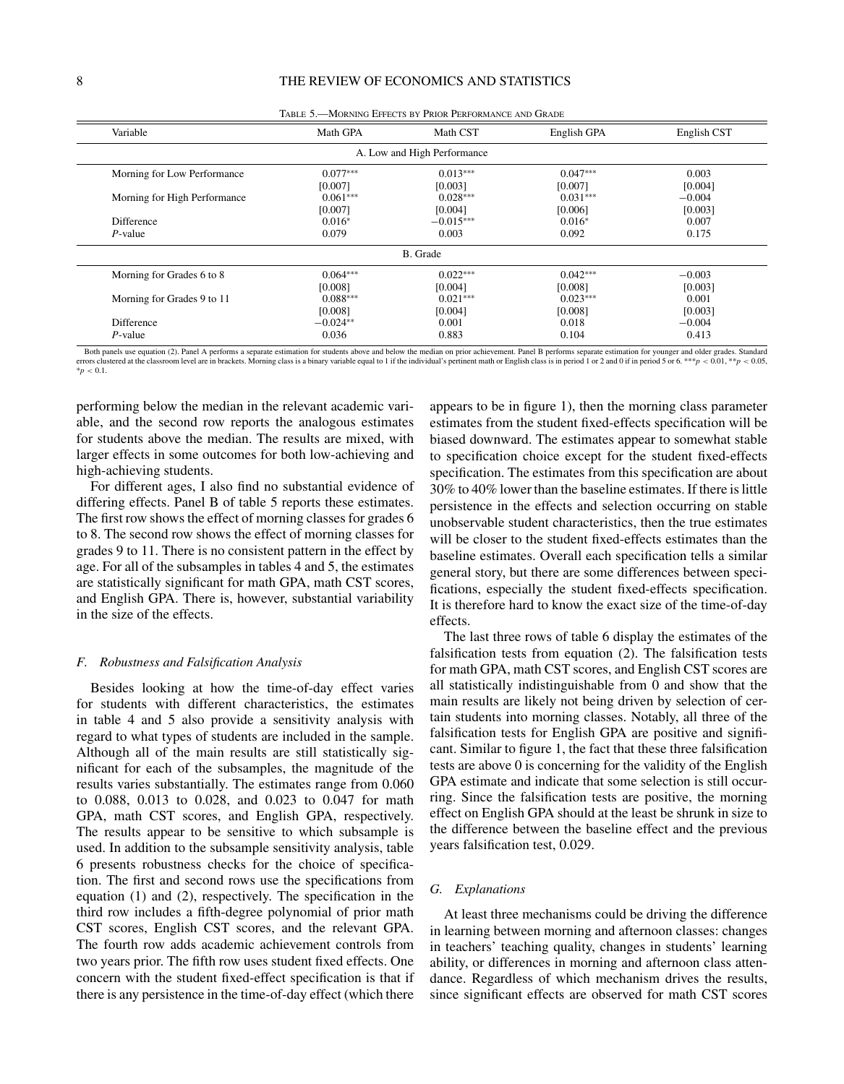| Variable                     | Math GPA   | Math CST                    | English GPA | English CST |  |  |  |  |  |
|------------------------------|------------|-----------------------------|-------------|-------------|--|--|--|--|--|
|                              |            | A. Low and High Performance |             |             |  |  |  |  |  |
| Morning for Low Performance  | $0.077***$ | $0.013***$                  | $0.047***$  | 0.003       |  |  |  |  |  |
|                              | [0.007]    | [0.003]                     | [0.007]     | [0.004]     |  |  |  |  |  |
| Morning for High Performance | $0.061***$ | $0.028***$                  | $0.031***$  | $-0.004$    |  |  |  |  |  |
|                              | [0.007]    | [0.004]                     | [0.006]     | [0.003]     |  |  |  |  |  |
| Difference                   | $0.016*$   | $-0.015***$                 | $0.016*$    | 0.007       |  |  |  |  |  |
| $P$ -value                   | 0.079      | 0.003                       | 0.092       | 0.175       |  |  |  |  |  |
|                              | B. Grade   |                             |             |             |  |  |  |  |  |
| Morning for Grades 6 to 8    | $0.064***$ | $0.022***$                  | $0.042***$  | $-0.003$    |  |  |  |  |  |
|                              | [0.008]    | [0.004]                     | [0.008]     | [0.003]     |  |  |  |  |  |
| Morning for Grades 9 to 11   | $0.088***$ | $0.021***$                  | $0.023***$  | 0.001       |  |  |  |  |  |
|                              | [0.008]    | [0.004]                     | [0.008]     | [0.003]     |  |  |  |  |  |
| Difference                   | $-0.024**$ | 0.001                       | 0.018       | $-0.004$    |  |  |  |  |  |
| P-value                      | 0.036      | 0.883                       | 0.104       | 0.413       |  |  |  |  |  |

Table 5.—Morning Effects by Prior Performance and Grade

Both panels use equation (2). Panel A performs a separate estimation for students above and below the median on prior achievement. Panel B performs separate estimation for younger and older grades. Standard errors cluster stered at the classroom level are in brackets. Morning class is a binary variable equal to 1 if the individual's pertinent math or English class is in period 1 or 2 and 0 if in period 5 or 6. \*\*\*  $p < 0.01$ , \*\* $p < 0.05$ ,  $* p < 0.1$ .

performing below the median in the relevant academic variable, and the second row reports the analogous estimates for students above the median. The results are mixed, with larger effects in some outcomes for both low-achieving and high-achieving students.

For different ages, I also find no substantial evidence of differing effects. Panel B of table 5 reports these estimates. The first row shows the effect of morning classes for grades 6 to 8. The second row shows the effect of morning classes for grades 9 to 11. There is no consistent pattern in the effect by age. For all of the subsamples in tables 4 and 5, the estimates are statistically significant for math GPA, math CST scores, and English GPA. There is, however, substantial variability in the size of the effects.

## *F. Robustness and Falsification Analysis*

Besides looking at how the time-of-day effect varies for students with different characteristics, the estimates in table 4 and 5 also provide a sensitivity analysis with regard to what types of students are included in the sample. Although all of the main results are still statistically significant for each of the subsamples, the magnitude of the results varies substantially. The estimates range from 0.060 to 0.088, 0.013 to 0.028, and 0.023 to 0.047 for math GPA, math CST scores, and English GPA, respectively. The results appear to be sensitive to which subsample is used. In addition to the subsample sensitivity analysis, table 6 presents robustness checks for the choice of specification. The first and second rows use the specifications from equation (1) and (2), respectively. The specification in the third row includes a fifth-degree polynomial of prior math CST scores, English CST scores, and the relevant GPA. The fourth row adds academic achievement controls from two years prior. The fifth row uses student fixed effects. One concern with the student fixed-effect specification is that if there is any persistence in the time-of-day effect (which there

appears to be in figure 1), then the morning class parameter estimates from the student fixed-effects specification will be biased downward. The estimates appear to somewhat stable to specification choice except for the student fixed-effects specification. The estimates from this specification are about 30% to 40% lower than the baseline estimates. If there is little persistence in the effects and selection occurring on stable unobservable student characteristics, then the true estimates will be closer to the student fixed-effects estimates than the baseline estimates. Overall each specification tells a similar general story, but there are some differences between specifications, especially the student fixed-effects specification. It is therefore hard to know the exact size of the time-of-day effects.

The last three rows of table 6 display the estimates of the falsification tests from equation (2). The falsification tests for math GPA, math CST scores, and English CST scores are all statistically indistinguishable from 0 and show that the main results are likely not being driven by selection of certain students into morning classes. Notably, all three of the falsification tests for English GPA are positive and significant. Similar to figure 1, the fact that these three falsification tests are above 0 is concerning for the validity of the English GPA estimate and indicate that some selection is still occurring. Since the falsification tests are positive, the morning effect on English GPA should at the least be shrunk in size to the difference between the baseline effect and the previous years falsification test, 0.029.

## *G. Explanations*

At least three mechanisms could be driving the difference in learning between morning and afternoon classes: changes in teachers' teaching quality, changes in students' learning ability, or differences in morning and afternoon class attendance. Regardless of which mechanism drives the results, since significant effects are observed for math CST scores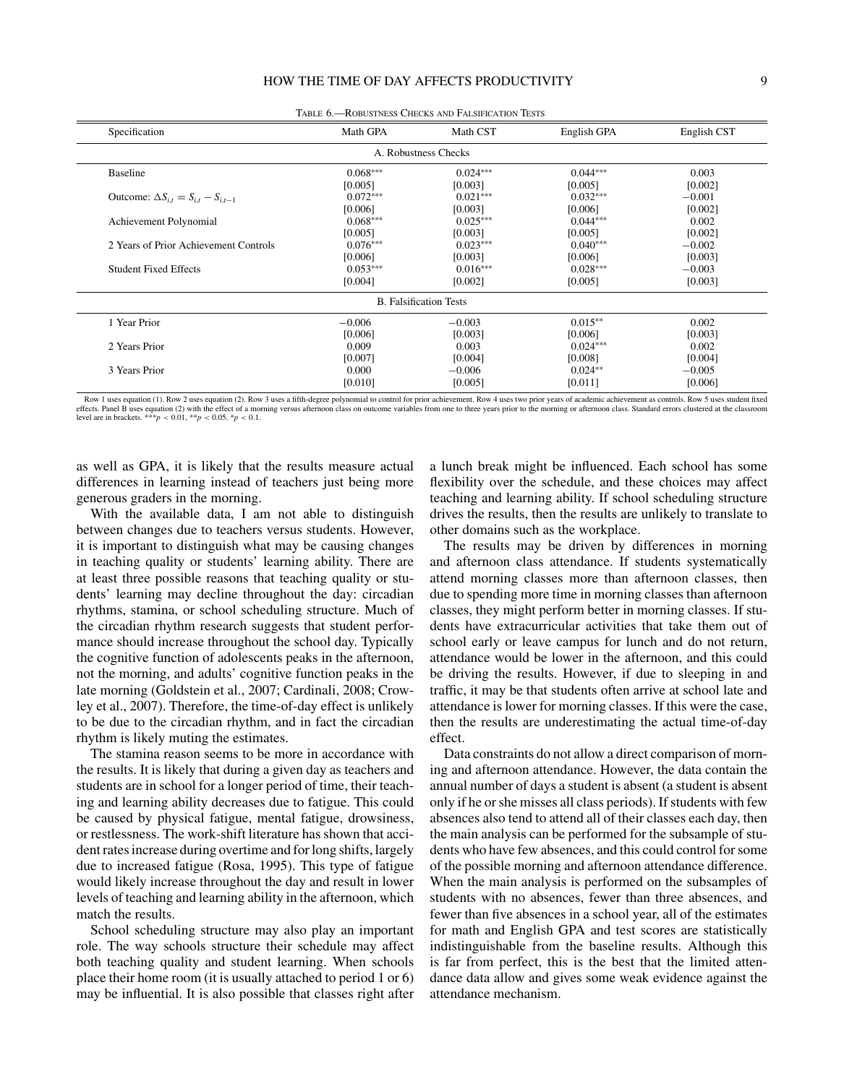| Specification                                   | Math GPA   | Math CST             | English GPA | English CST |  |  |  |  |
|-------------------------------------------------|------------|----------------------|-------------|-------------|--|--|--|--|
|                                                 |            | A. Robustness Checks |             |             |  |  |  |  |
| <b>Baseline</b>                                 | $0.068***$ | $0.024***$           | $0.044***$  | 0.003       |  |  |  |  |
|                                                 | [0.005]    | [0.003]              | [0.005]     | [0.002]     |  |  |  |  |
| Outcome: $\Delta S_{i,t} = S_{i,t} - S_{i,t-1}$ | $0.072***$ | $0.021***$           | $0.032***$  | $-0.001$    |  |  |  |  |
|                                                 | [0.006]    | [0.003]              | [0.006]     | [0.002]     |  |  |  |  |
| Achievement Polynomial                          | $0.068***$ | $0.025***$           | $0.044***$  | 0.002       |  |  |  |  |
|                                                 | [0.005]    | [0.003]              | [0.005]     | [0.002]     |  |  |  |  |
| 2 Years of Prior Achievement Controls           | $0.076***$ | $0.023***$           | $0.040***$  | $-0.002$    |  |  |  |  |
|                                                 | [0.006]    | [0.003]              | [0.006]     | [0.003]     |  |  |  |  |
| <b>Student Fixed Effects</b>                    | $0.053***$ | $0.016***$           | $0.028***$  | $-0.003$    |  |  |  |  |
|                                                 | [0.004]    | [0.002]              | [0.005]     | [0.003]     |  |  |  |  |
| <b>B.</b> Falsification Tests                   |            |                      |             |             |  |  |  |  |
| 1 Year Prior                                    | $-0.006$   | $-0.003$             | $0.015**$   | 0.002       |  |  |  |  |
|                                                 | [0.006]    | [0.003]              | [0.006]     | [0.003]     |  |  |  |  |
| 2 Years Prior                                   | 0.009      | 0.003                | $0.024***$  | 0.002       |  |  |  |  |
|                                                 | [0.007]    | [0.004]              | [0.008]     | [0.004]     |  |  |  |  |
| 3 Years Prior                                   | 0.000      | $-0.006$             | $0.024**$   | $-0.005$    |  |  |  |  |
|                                                 | [0.010]    | [0.005]              | [0.011]     | [0.006]     |  |  |  |  |

Table 6.—Robustness Checks and Falsification Tests

Row 1 uses equation (1). Row 2 uses equation (2). Row 3 uses a fifth-degree polynomial to control for prior achievement. Row 4 uses two prior years of academic achievement as controls. Row 5 uses student fixed effects. Panel B uses equation (2) with the effect of a morning versus afternoon class on outcome variables from one to three years prior to the morning or afternoon class. Standard errors clustered at the classroom level are in brackets. \*\*\**p* < 0.01, \*\**p* < 0.05, \**p* < 0.1.

as well as GPA, it is likely that the results measure actual differences in learning instead of teachers just being more generous graders in the morning.

With the available data, I am not able to distinguish between changes due to teachers versus students. However, it is important to distinguish what may be causing changes in teaching quality or students' learning ability. There are at least three possible reasons that teaching quality or students' learning may decline throughout the day: circadian rhythms, stamina, or school scheduling structure. Much of the circadian rhythm research suggests that student performance should increase throughout the school day. Typically the cognitive function of adolescents peaks in the afternoon, not the morning, and adults' cognitive function peaks in the late morning (Goldstein et al., 2007; Cardinali, 2008; Crowley et al., 2007). Therefore, the time-of-day effect is unlikely to be due to the circadian rhythm, and in fact the circadian rhythm is likely muting the estimates.

The stamina reason seems to be more in accordance with the results. It is likely that during a given day as teachers and students are in school for a longer period of time, their teaching and learning ability decreases due to fatigue. This could be caused by physical fatigue, mental fatigue, drowsiness, or restlessness. The work-shift literature has shown that accident rates increase during overtime and for long shifts, largely due to increased fatigue (Rosa, 1995). This type of fatigue would likely increase throughout the day and result in lower levels of teaching and learning ability in the afternoon, which match the results.

School scheduling structure may also play an important role. The way schools structure their schedule may affect both teaching quality and student learning. When schools place their home room (it is usually attached to period 1 or 6) may be influential. It is also possible that classes right after

a lunch break might be influenced. Each school has some flexibility over the schedule, and these choices may affect teaching and learning ability. If school scheduling structure drives the results, then the results are unlikely to translate to other domains such as the workplace.

The results may be driven by differences in morning and afternoon class attendance. If students systematically attend morning classes more than afternoon classes, then due to spending more time in morning classes than afternoon classes, they might perform better in morning classes. If students have extracurricular activities that take them out of school early or leave campus for lunch and do not return, attendance would be lower in the afternoon, and this could be driving the results. However, if due to sleeping in and traffic, it may be that students often arrive at school late and attendance is lower for morning classes. If this were the case, then the results are underestimating the actual time-of-day effect.

Data constraints do not allow a direct comparison of morning and afternoon attendance. However, the data contain the annual number of days a student is absent (a student is absent only if he or she misses all class periods). If students with few absences also tend to attend all of their classes each day, then the main analysis can be performed for the subsample of students who have few absences, and this could control for some of the possible morning and afternoon attendance difference. When the main analysis is performed on the subsamples of students with no absences, fewer than three absences, and fewer than five absences in a school year, all of the estimates for math and English GPA and test scores are statistically indistinguishable from the baseline results. Although this is far from perfect, this is the best that the limited attendance data allow and gives some weak evidence against the attendance mechanism.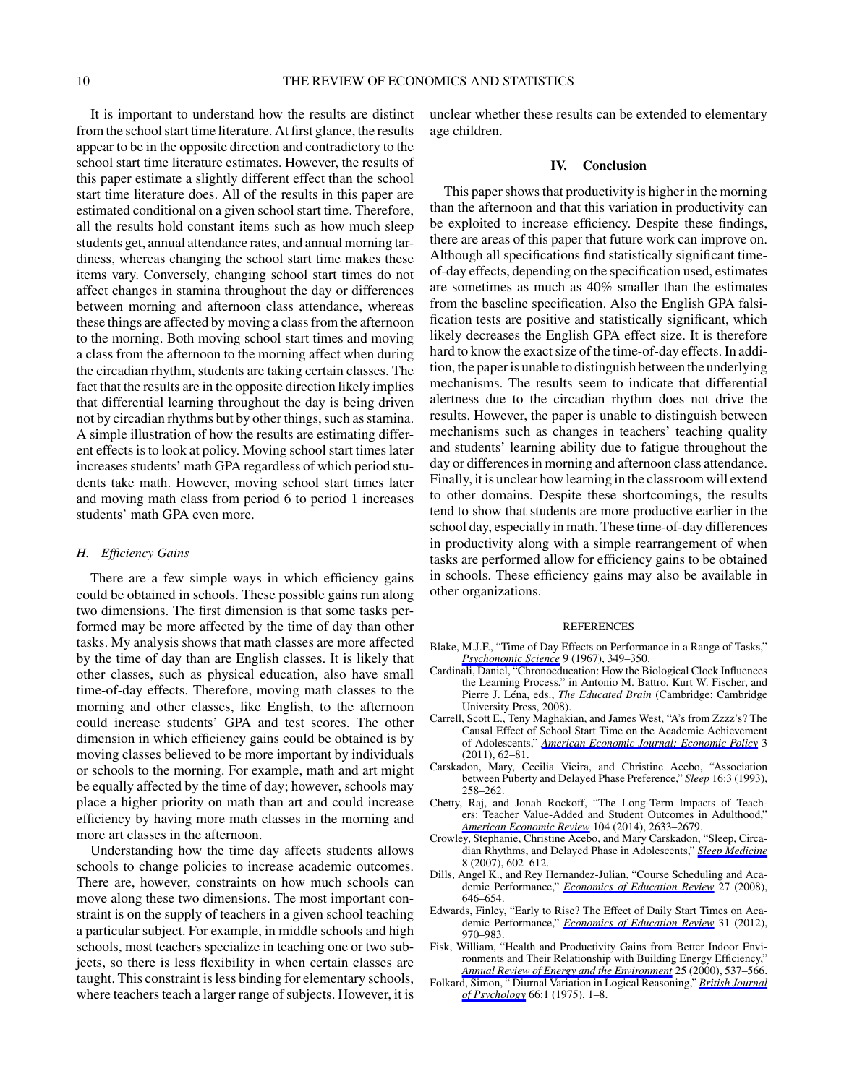It is important to understand how the results are distinct from the school start time literature. At first glance, the results appear to be in the opposite direction and contradictory to the school start time literature estimates. However, the results of this paper estimate a slightly different effect than the school start time literature does. All of the results in this paper are estimated conditional on a given school start time. Therefore, all the results hold constant items such as how much sleep students get, annual attendance rates, and annual morning tardiness, whereas changing the school start time makes these items vary. Conversely, changing school start times do not affect changes in stamina throughout the day or differences between morning and afternoon class attendance, whereas these things are affected by moving a class from the afternoon to the morning. Both moving school start times and moving a class from the afternoon to the morning affect when during the circadian rhythm, students are taking certain classes. The fact that the results are in the opposite direction likely implies that differential learning throughout the day is being driven not by circadian rhythms but by other things, such as stamina. A simple illustration of how the results are estimating different effects is to look at policy. Moving school start times later increases students' math GPA regardless of which period students take math. However, moving school start times later and moving math class from period 6 to period 1 increases students' math GPA even more.

## *H. Efficiency Gains*

There are a few simple ways in which efficiency gains could be obtained in schools. These possible gains run along two dimensions. The first dimension is that some tasks performed may be more affected by the time of day than other tasks. My analysis shows that math classes are more affected by the time of day than are English classes. It is likely that other classes, such as physical education, also have small time-of-day effects. Therefore, moving math classes to the morning and other classes, like English, to the afternoon could increase students' GPA and test scores. The other dimension in which efficiency gains could be obtained is by moving classes believed to be more important by individuals or schools to the morning. For example, math and art might be equally affected by the time of day; however, schools may place a higher priority on math than art and could increase efficiency by having more math classes in the morning and more art classes in the afternoon.

Understanding how the time day affects students allows schools to change policies to increase academic outcomes. There are, however, constraints on how much schools can move along these two dimensions. The most important constraint is on the supply of teachers in a given school teaching a particular subject. For example, in middle schools and high schools, most teachers specialize in teaching one or two subjects, so there is less flexibility in when certain classes are taught. This constraint is less binding for elementary schools, where teachers teach a larger range of subjects. However, it is unclear whether these results can be extended to elementary age children.

#### **IV. Conclusion**

This paper shows that productivity is higher in the morning than the afternoon and that this variation in productivity can be exploited to increase efficiency. Despite these findings, there are areas of this paper that future work can improve on. Although all specifications find statistically significant timeof-day effects, depending on the specification used, estimates are sometimes as much as 40% smaller than the estimates from the baseline specification. Also the English GPA falsification tests are positive and statistically significant, which likely decreases the English GPA effect size. It is therefore hard to know the exact size of the time-of-day effects. In addition, the paper is unable to distinguish between the underlying mechanisms. The results seem to indicate that differential alertness due to the circadian rhythm does not drive the results. However, the paper is unable to distinguish between mechanisms such as changes in teachers' teaching quality and students' learning ability due to fatigue throughout the day or differences in morning and afternoon class attendance. Finally, it is unclear how learning in the classroom will extend to other domains. Despite these shortcomings, the results tend to show that students are more productive earlier in the school day, especially in math. These time-of-day differences in productivity along with a simple rearrangement of when tasks are performed allow for efficiency gains to be obtained in schools. These efficiency gains may also be available in other organizations.

#### REFERENCES

- Blake, M.J.F., "Time of Day Effects on Performance in a Range of Tasks," *[Psychonomic Science](http://www.mitpressjournals.org/action/showLinks?crossref=10.3758%2FBF03327842)* 9 (1967), 349–350.
- Cardinali, Daniel, "Chronoeducation: How the Biological Clock Influences the Learning Process," in Antonio M. Battro, Kurt W. Fischer, and Pierre J. Léna, eds., *The Educated Brain* (Cambridge: Cambridge University Press, 2008).
- Carrell, Scott E., Teny Maghakian, and James West, "A's from Zzzz's? The Causal Effect of School Start Time on the Academic Achievement of Adolescents," *[American Economic Journal: Economic Policy](http://www.mitpressjournals.org/action/showLinks?crossref=10.1257%2Fpol.3.3.62)* 3 (2011), 62–81.
- Carskadon, Mary, Cecilia Vieira, and Christine Acebo, "Association between Puberty and Delayed Phase Preference," *Sleep* 16:3 (1993), 258–262.
- Chetty, Raj, and Jonah Rockoff, "The Long-Term Impacts of Teachers: Teacher Value-Added and Student Outcomes in Adulthood,' *[American Economic Review](http://www.mitpressjournals.org/action/showLinks?crossref=10.1257%2Faer.104.9.2633)* 104 (2014), 2633–2679.
- Crowley, Stephanie, Christine Acebo, and Mary Carskadon, "Sleep, Circadian Rhythms, and Delayed Phase in Adolescents," *[Sleep Medicine](http://www.mitpressjournals.org/action/showLinks?crossref=10.1016%2Fj.sleep.2006.12.002)* 8 (2007), 602–612.
- Dills, Angel K., and Rey Hernandez-Julian, "Course Scheduling and Academic Performance," *[Economics of Education Review](http://www.mitpressjournals.org/action/showLinks?crossref=10.1016%2Fj.econedurev.2007.08.001)* 27 (2008), 646–654.
- Edwards, Finley, "Early to Rise? The Effect of Daily Start Times on Academic Performance," *[Economics of Education Review](http://www.mitpressjournals.org/action/showLinks?crossref=10.1016%2Fj.econedurev.2012.07.006)* 31 (2012), 970–983.
- Fisk, William, "Health and Productivity Gains from Better Indoor Environments and Their Relationship with Building Energy Efficiency,' *[Annual Review of Energy and the Environment](http://www.mitpressjournals.org/action/showLinks?crossref=10.1146%2Fannurev.energy.25.1.537)* 25 (2000), 537–566.
- Folkard, Simon, " Diurnal Variation in Logical Reasoning," *[British Journal](http://www.mitpressjournals.org/action/showLinks?crossref=10.1111%2Fj.2044-8295.1975.tb01433.x) [of Psychology](http://www.mitpressjournals.org/action/showLinks?crossref=10.1111%2Fj.2044-8295.1975.tb01433.x)* 66:1 (1975), 1–8.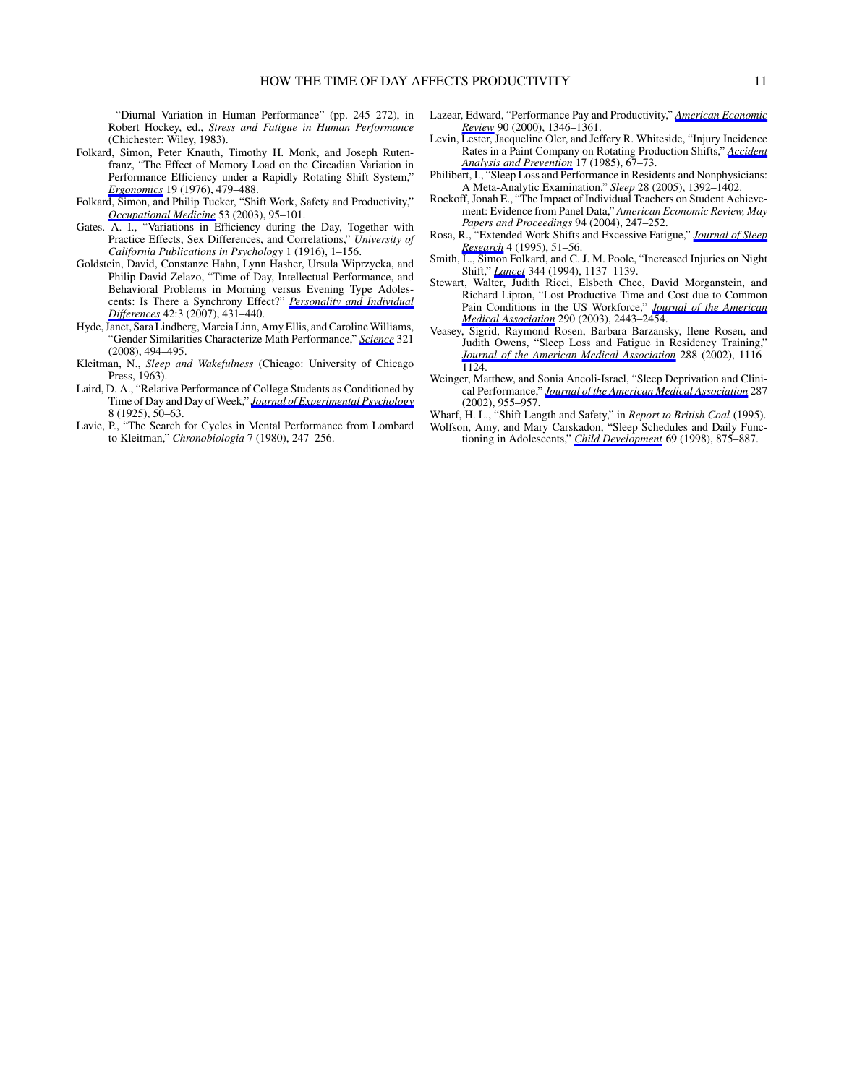"Diurnal Variation in Human Performance" (pp. 245–272), in Robert Hockey, ed., *Stress and Fatigue in Human Performance* (Chichester: Wiley, 1983).

- Folkard, Simon, Peter Knauth, Timothy H. Monk, and Joseph Rutenfranz, "The Effect of Memory Load on the Circadian Variation in Performance Efficiency under a Rapidly Rotating Shift System," *[Ergonomics](http://www.mitpressjournals.org/action/showLinks?crossref=10.1080%2F00140137608931559)* 19 (1976), 479–488.
- Folkard, Simon, and Philip Tucker, "Shift Work, Safety and Productivity," *[Occupational Medicine](http://www.mitpressjournals.org/action/showLinks?crossref=10.1093%2Foccmed%2Fkqg047)* 53 (2003), 95–101.
- Gates. A. I., "Variations in Efficiency during the Day, Together with Practice Effects, Sex Differences, and Correlations," *University of California Publications in Psychology* 1 (1916), 1–156.
- Goldstein, David, Constanze Hahn, Lynn Hasher, Ursula Wiprzycka, and Philip David Zelazo, "Time of Day, Intellectual Performance, and Behavioral Problems in Morning versus Evening Type Adolescents: Is There a Synchrony Effect?" *[Personality and Individual](http://www.mitpressjournals.org/action/showLinks?crossref=10.1016%2Fj.paid.2006.07.008) [Differences](http://www.mitpressjournals.org/action/showLinks?crossref=10.1016%2Fj.paid.2006.07.008)* 42:3 (2007), 431–440.
- Hyde, Janet, Sara Lindberg, Marcia Linn, Amy Ellis, and Caroline Williams, "Gender Similarities Characterize Math Performance," *[Science](http://www.mitpressjournals.org/action/showLinks?crossref=10.1126%2Fscience.1160364)* 321 (2008), 494–495.
- Kleitman, N., *Sleep and Wakefulness* (Chicago: University of Chicago Press, 1963).
- Laird, D. A., "Relative Performance of College Students as Conditioned by Time of Day and Day of Week," *[Journal of Experimental Psychology](http://www.mitpressjournals.org/action/showLinks?crossref=10.1037%2Fh0067673)* 8 (1925), 50–63.
- Lavie, P., "The Search for Cycles in Mental Performance from Lombard to Kleitman," *Chronobiologia* 7 (1980), 247–256.
- Lazear, Edward, "Performance Pay and Productivity," *[American Economic](http://www.mitpressjournals.org/action/showLinks?crossref=10.1257%2Faer.90.5.1346) [Review](http://www.mitpressjournals.org/action/showLinks?crossref=10.1257%2Faer.90.5.1346)* 90 (2000), 1346–1361.
- Levin, Lester, Jacqueline Oler, and Jeffery R. Whiteside, "Injury Incidence Rates in a Paint Company on Rotating Production Shifts," *[Accident](http://www.mitpressjournals.org/action/showLinks?crossref=10.1016%2F0001-4575%2885%2990009-0) [Analysis and Prevention](http://www.mitpressjournals.org/action/showLinks?crossref=10.1016%2F0001-4575%2885%2990009-0)* 17 (1985), 67–73.
- Philibert, I., "Sleep Loss and Performance in Residents and Nonphysicians: A Meta-Analytic Examination," *Sleep* 28 (2005), 1392–1402.
- Rockoff, Jonah E., "The Impact of Individual Teachers on Student Achievement: Evidence from Panel Data," *American Economic Review, May Papers and Proceedings* 94 (2004), 247–252.
- Rosa, R., "Extended Work Shifts and Excessive Fatigue," *[Journal of Sleep](http://www.mitpressjournals.org/action/showLinks?crossref=10.1111%2Fj.1365-2869.1995.tb00227.x) [Research](http://www.mitpressjournals.org/action/showLinks?crossref=10.1111%2Fj.1365-2869.1995.tb00227.x)* 4 (1995), 51–56.
- Smith, L., Simon Folkard, and C. J. M. Poole, "Increased Injuries on Night Shift," *[Lancet](http://www.mitpressjournals.org/action/showLinks?crossref=10.1016%2FS0140-6736%2894%2990636-X)* 344 (1994), 1137–1139.
- Stewart, Walter, Judith Ricci, Elsbeth Chee, David Morganstein, and Richard Lipton, "Lost Productive Time and Cost due to Common Pain Conditions in the US Workforce," *[Journal of the American](http://www.mitpressjournals.org/action/showLinks?crossref=10.1001%2Fjama.290.18.2443) [Medical Association](http://www.mitpressjournals.org/action/showLinks?crossref=10.1001%2Fjama.290.18.2443)* 290 (2003), 2443–2454.
- Veasey, Sigrid, Raymond Rosen, Barbara Barzansky, Ilene Rosen, and Judith Owens, "Sleep Loss and Fatigue in Residency Training," *[Journal of the American Medical Association](http://www.mitpressjournals.org/action/showLinks?crossref=10.1001%2Fjama.288.9.1116)* 288 (2002), 1116– 1124.
- Weinger, Matthew, and Sonia Ancoli-Israel, "Sleep Deprivation and Clinical Performance," *[Journal of the American Medical Association](http://www.mitpressjournals.org/action/showLinks?crossref=10.1001%2Fjama.287.8.955)* 287 (2002), 955–957.
- Wharf, H. L., "Shift Length and Safety," in *Report to British Coal* (1995).
- Wolfson, Amy, and Mary Carskadon, "Sleep Schedules and Daily Functioning in Adolescents," *[Child Development](http://www.mitpressjournals.org/action/showLinks?crossref=10.1111%2Fj.1467-8624.1998.tb06149.x)* 69 (1998), 875–887.